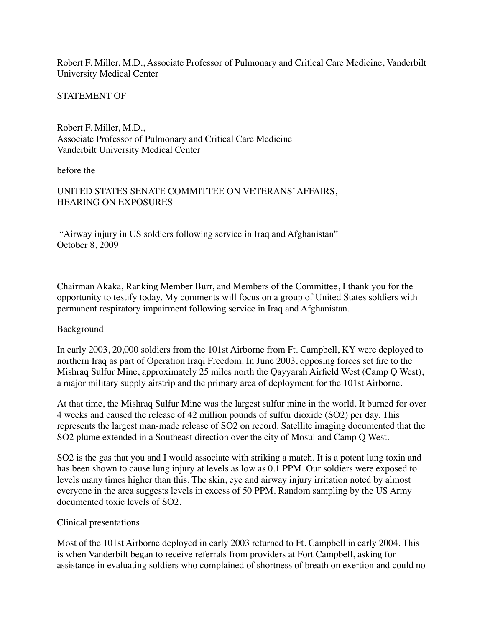Robert F. Miller, M.D., Associate Professor of Pulmonary and Critical Care Medicine, Vanderbilt University Medical Center

STATEMENT OF

Robert F. Miller, M.D., Associate Professor of Pulmonary and Critical Care Medicine Vanderbilt University Medical Center

before the

## UNITED STATES SENATE COMMITTEE ON VETERANS' AFFAIRS, HEARING ON EXPOSURES

"Airway injury in US soldiers following service in Iraq and Afghanistan" October 8, 2009

Chairman Akaka, Ranking Member Burr, and Members of the Committee, I thank you for the opportunity to testify today. My comments will focus on a group of United States soldiers with permanent respiratory impairment following service in Iraq and Afghanistan.

## Background

In early 2003, 20,000 soldiers from the 101st Airborne from Ft. Campbell, KY were deployed to northern Iraq as part of Operation Iraqi Freedom. In June 2003, opposing forces set fire to the Mishraq Sulfur Mine, approximately 25 miles north the Qayyarah Airfield West (Camp Q West), a major military supply airstrip and the primary area of deployment for the 101st Airborne.

At that time, the Mishraq Sulfur Mine was the largest sulfur mine in the world. It burned for over 4 weeks and caused the release of 42 million pounds of sulfur dioxide (SO2) per day. This represents the largest man-made release of SO2 on record. Satellite imaging documented that the SO2 plume extended in a Southeast direction over the city of Mosul and Camp Q West.

SO2 is the gas that you and I would associate with striking a match. It is a potent lung toxin and has been shown to cause lung injury at levels as low as 0.1 PPM. Our soldiers were exposed to levels many times higher than this. The skin, eye and airway injury irritation noted by almost everyone in the area suggests levels in excess of 50 PPM. Random sampling by the US Army documented toxic levels of SO2.

## Clinical presentations

Most of the 101st Airborne deployed in early 2003 returned to Ft. Campbell in early 2004. This is when Vanderbilt began to receive referrals from providers at Fort Campbell, asking for assistance in evaluating soldiers who complained of shortness of breath on exertion and could no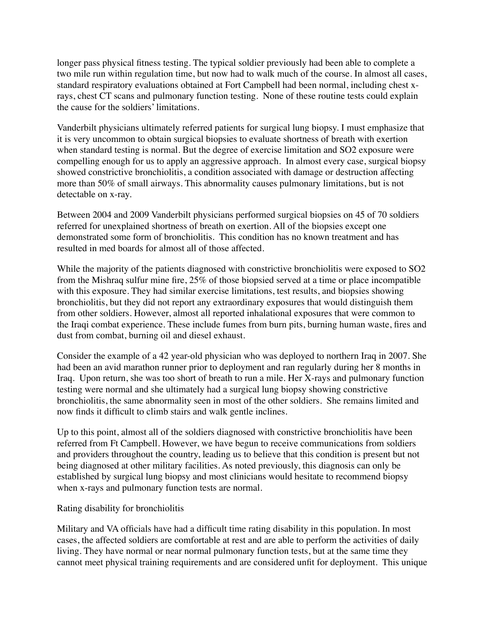longer pass physical fitness testing. The typical soldier previously had been able to complete a two mile run within regulation time, but now had to walk much of the course. In almost all cases, standard respiratory evaluations obtained at Fort Campbell had been normal, including chest xrays, chest CT scans and pulmonary function testing. None of these routine tests could explain the cause for the soldiers' limitations.

Vanderbilt physicians ultimately referred patients for surgical lung biopsy. I must emphasize that it is very uncommon to obtain surgical biopsies to evaluate shortness of breath with exertion when standard testing is normal. But the degree of exercise limitation and SO2 exposure were compelling enough for us to apply an aggressive approach. In almost every case, surgical biopsy showed constrictive bronchiolitis, a condition associated with damage or destruction affecting more than 50% of small airways. This abnormality causes pulmonary limitations, but is not detectable on x-ray.

Between 2004 and 2009 Vanderbilt physicians performed surgical biopsies on 45 of 70 soldiers referred for unexplained shortness of breath on exertion. All of the biopsies except one demonstrated some form of bronchiolitis. This condition has no known treatment and has resulted in med boards for almost all of those affected.

While the majority of the patients diagnosed with constrictive bronchiolitis were exposed to SO2 from the Mishraq sulfur mine fire, 25% of those biopsied served at a time or place incompatible with this exposure. They had similar exercise limitations, test results, and biopsies showing bronchiolitis, but they did not report any extraordinary exposures that would distinguish them from other soldiers. However, almost all reported inhalational exposures that were common to the Iraqi combat experience. These include fumes from burn pits, burning human waste, fires and dust from combat, burning oil and diesel exhaust.

Consider the example of a 42 year-old physician who was deployed to northern Iraq in 2007. She had been an avid marathon runner prior to deployment and ran regularly during her 8 months in Iraq. Upon return, she was too short of breath to run a mile. Her X-rays and pulmonary function testing were normal and she ultimately had a surgical lung biopsy showing constrictive bronchiolitis, the same abnormality seen in most of the other soldiers. She remains limited and now finds it difficult to climb stairs and walk gentle inclines.

Up to this point, almost all of the soldiers diagnosed with constrictive bronchiolitis have been referred from Ft Campbell. However, we have begun to receive communications from soldiers and providers throughout the country, leading us to believe that this condition is present but not being diagnosed at other military facilities. As noted previously, this diagnosis can only be established by surgical lung biopsy and most clinicians would hesitate to recommend biopsy when x-rays and pulmonary function tests are normal.

## Rating disability for bronchiolitis

Military and VA officials have had a difficult time rating disability in this population. In most cases, the affected soldiers are comfortable at rest and are able to perform the activities of daily living. They have normal or near normal pulmonary function tests, but at the same time they cannot meet physical training requirements and are considered unfit for deployment. This unique